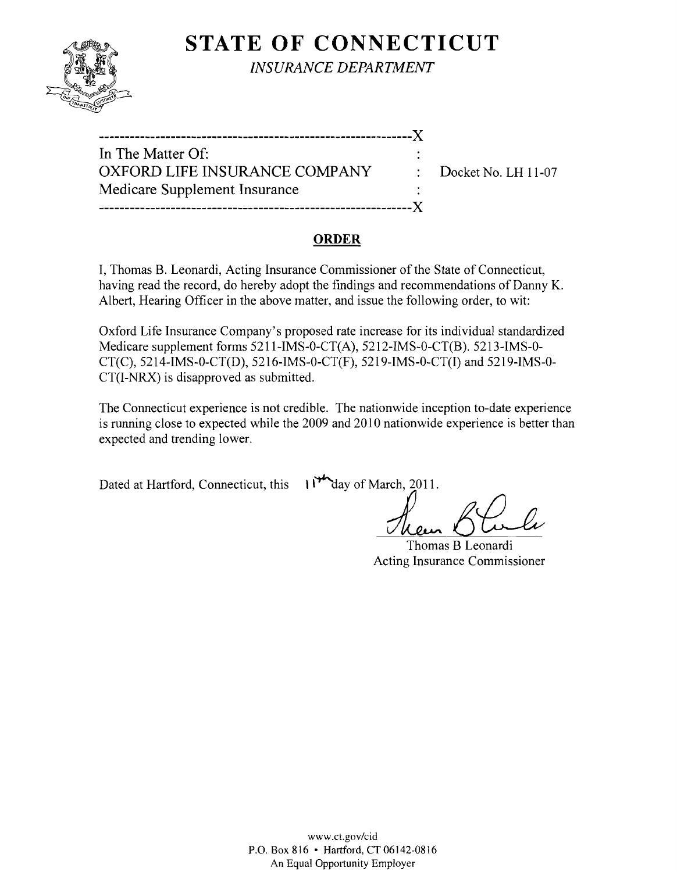

**STATE OF CONNECTICUT** 

*INSURANCE DEPARTMENT* 

| In The Matter Of:             |                                  |
|-------------------------------|----------------------------------|
| OXFORD LIFE INSURANCE COMPANY | $\therefore$ Docket No. LH 11-07 |
| Medicare Supplement Insurance |                                  |
|                               |                                  |

## **ORDER**

I, Thomas B. Leonardi, Acting Insurance Commissioner of the State of Connecticut, having read the record, do hereby adopt the findings and recommendations of Danny K. Albert, Hearing Officer in the above matter, and issue the following order, to wit:

Oxford Life Insurance Company's proposed rate increase for its individual standardized Medicare supplement forms 5211-IMS-O-CT(A), 5212-IMS-0-CT(B). 5213-IMS-0 CT(C), 5214-IMS-0-CT(D), 5216-IMS-0-CT(F), 5219-IMS-O-CT(I) and 5219-IMS-0 CT(I-NRX) is disapproved as submitted.

The Connecticut experience is not credible. The nationwide inception to-date experience is running close to expected while the 2009 and 2010 nationwide experience is better than expected and trending lower.

Dated at Hartford, Connecticut, this  $\mathcal{W}_{\text{day of March, }2011.}$ 

Thomas B Leonardi Acting Insurance Commissioner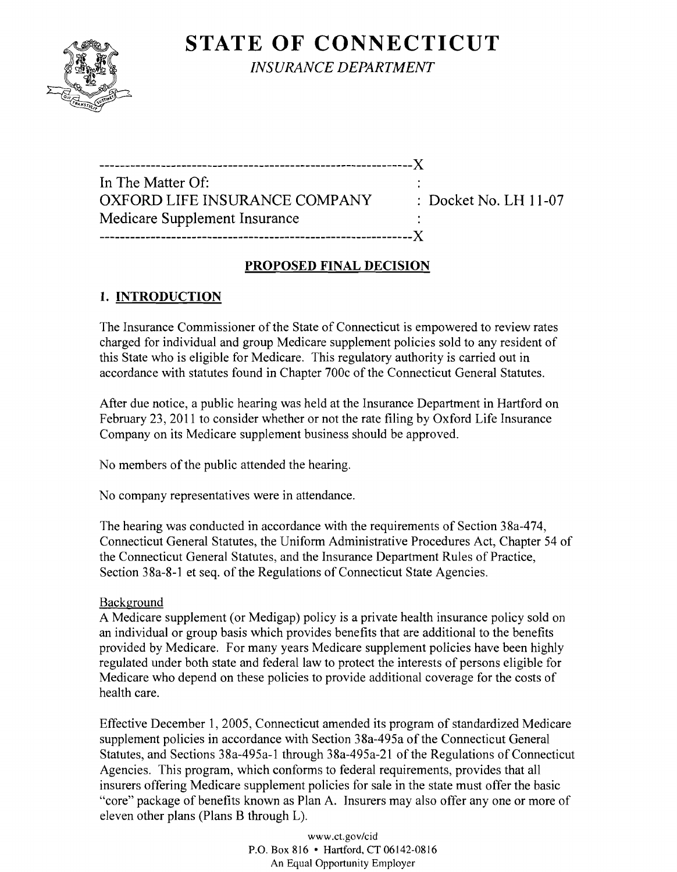# **STATE OF CONNECTICUT**



*INSURANCE DEPARTMENT* 

-------------------------------------------------------------)( In The Matter Of: OXFORD LIFE INSURANCE COMPANY : Docket No. LH 11-07 Medicare Supplement Insurance -------------------------------------------------------------)(

## **PROPOSED FINAL DECISION**

# **1. INTRODUCTION**

The Insurance Commissioner of the State of Connecticut is empowered to review rates charged for individual and group Medicare supplement policies sold to any resident of this State who is eligible for Medicare. This regulatory authority is carried out in accordance with statutes found in Chapter 700c of the Connecticut General Statutes.

After due notice, a public hearing was held at the Insurance Department in Hartford on February 23,2011 to consider whether or not the rate filing by Oxford Life Insurance Company on its Medicare supplement business should be approved.

No members of the public attended the hearing.

No company representatives were in attendance.

The hearing was conducted in accordance with the requirements of Section 38a-474, Connecticut General Statutes, the Uniform Administrative Procedures Act, Chapter 54 of the Connecticut General Statutes, and the Insurance Department Rules of Practice, Section 38a-8-1 et seq. of the Regulations of Connecticut State Agencies.

### Background

A Medicare supplement (or Medigap) policy is a private health insurance policy sold on an individual or group basis which provides benefits that are additional to the benefits provided by Medicare. For many years Medicare supplement policies have been highly regulated under both state and federal law to protect the interests of persons eligible for Medicare who depend on these policies to provide additional coverage for the costs of health care.

Effective December 1, 2005, Connecticut amended its program of standardized Medicare supplement policies in accordance with Section 38a-495a of the Connecticut General Statutes, and Sections 38a-495a-1 through 38a-495a-21 of the Regulations of Connecticut Agencies. This program, which conforms to federal requirements, provides that all insurers offering Medicare supplement policies for sale in the state must offer the basic "core" package of benefits known as Plan A. Insurers may also offer anyone or more of eleven other plans (Plans B through L).

> www.ct.gov/cid P.O. Box 816 • Hartford. CT 06142-0816 An Equal Opportunity Employer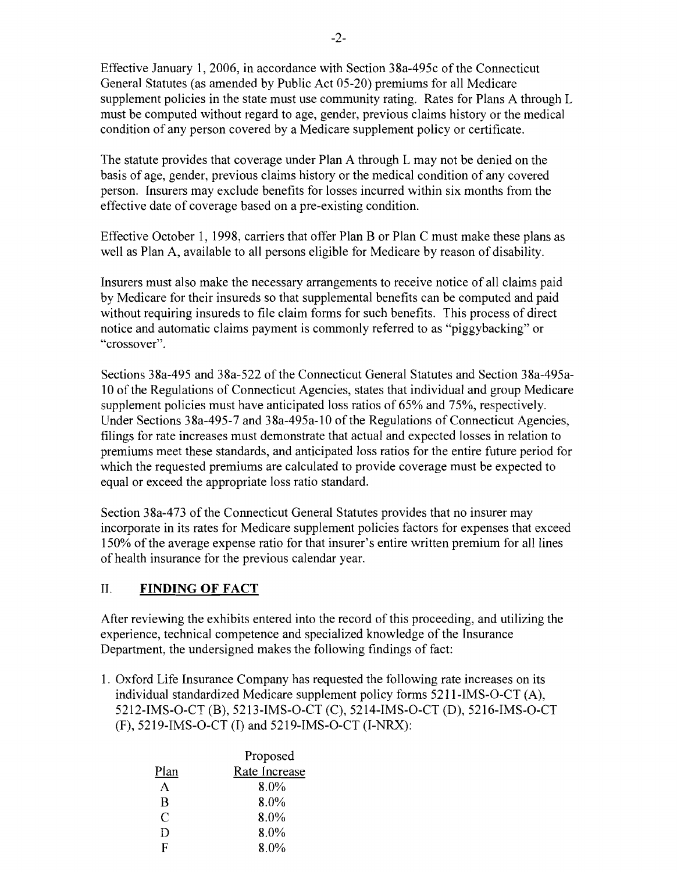Effective January 1,2006, in accordance with Section 38a-495c of the Connecticut General Statutes (as amended by Public Act 05-20) premiums for all Medicare supplement policies in the state must use community rating. Rates for Plans A through L must be computed without regard to age, gender, previous claims history or the medical condition of any person covered by a Medicare supplement policy or certificate.

The statute provides that coverage under Plan A through L may not be denied on the basis of age, gender, previous claims history or the medical condition of any covered person. Insurers may exclude benefits for losses incurred within six months from the effective date of coverage based on a pre-existing condition.

Effective October 1, 1998, carriers that offer Plan B or Plan C must make these plans as well as Plan A, available to all persons eligible for Medicare by reason of disability.

Insurers must also make the necessary arrangements to receive notice of all claims paid by Medicare for their insureds so that supplemental benefits can be computed and paid without requiring insureds to file claim forms for such benefits. This process of direct notice and automatic claims payment is commonly referred to as "piggybacking" or "crossover".

Sections 38a-495 and 38a-522 of the Connecticut General Statutes and Section 38a-495a-10 ofthe Regulations of Connecticut Agencies, states that individual and group Medicare supplement policies must have anticipated loss ratios of 65% and 75%, respectively. Under Sections 38a-495-7 and 38a-495a-10 of the Regulations of Connecticut Agencies, filings for rate increases must demonstrate that actual and expected losses in relation to premiums meet these standards, and anticipated loss ratios for the entire future period for which the requested premiums are calculated to provide coverage must be expected to equal or exceed the appropriate loss ratio standard.

Section 38a-473 of the Connecticut General Statutes provides that no insurer may incorporate in its rates for Medicare supplement policies factors for expenses that exceed 150% of the average expense ratio for that insurer's entire written premium for all lines of health insurance for the previous calendar year.

#### II. **FINDING OF FACT**

After reviewing the exhibits entered into the record of this proceeding, and utilizing the experience, technical competence and specialized knowledge of the Insurance Department, the undersigned makes the following findings of fact:

1. Oxford Life Insurance Company has requested the following rate increases on its individual standardized Medicare supplement policy forms 5211-IMS-O-CT (A), 5212-IMS-O-CT (B), 5213-IMS-O-CT (C), 5214-IMS-O-CT (D), 5216-IMS-O-CT (F), 5219-IMS-O-CT (I) and 5219-IMS-O-CT (I-NRX):

|      | Proposed      |
|------|---------------|
| Plan | Rate Increase |
| A    | $8.0\%$       |
| B    | $8.0\%$       |
| C    | 8.0%          |
| D    | 8.0%          |
| F    | $8.0\%$       |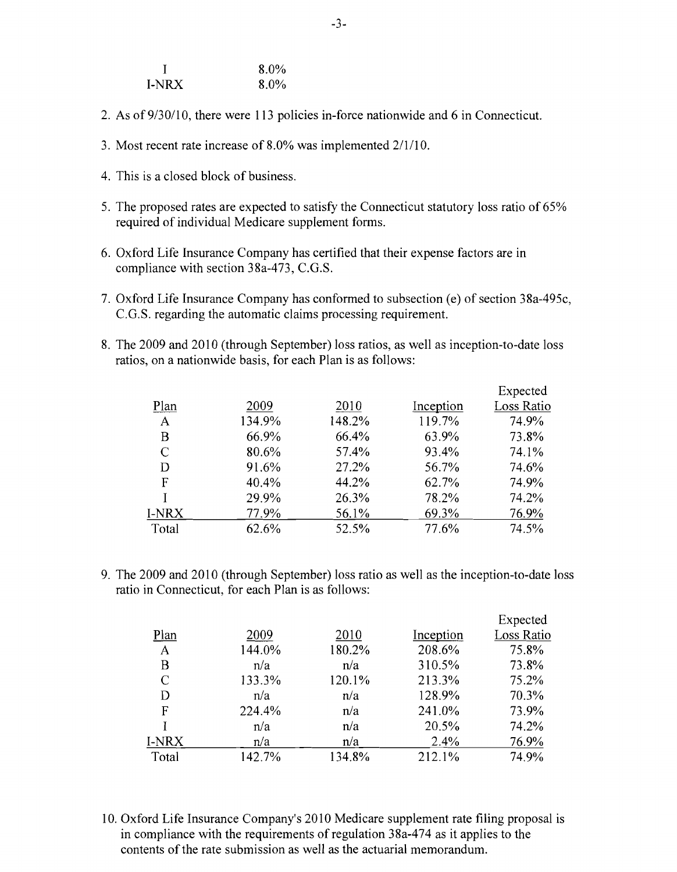|       | $8.0\%$ |
|-------|---------|
| I-NRX | $8.0\%$ |

- 2. As of 9/30/10, there were 113 policies in-force nationwide and 6 in Connecticut.
- 3. Most recent rate increase of 8.0% was implemented  $2/1/10$ .
- 4. This is a closed block of business.
- 5. The proposed rates are expected to satisfy the Connecticut statutory loss ratio of 65% required of individual Medicare supplement forms.
- 6. Oxford Life Insurance Company has certified that their expense factors are in compliance with section 38a-473, C.G.S.
- 7. Oxford Life Insurance Company has conformed to subsection (e) of section 38a-495c, C.G.S. regarding the automatic claims processing requirement.
- 8. The 2009 and 2010 (through September) loss ratios, as well as inception-to-date loss ratios, on a nationwide basis, for each Plan is as follows:

|       |        |        |           | Expected   |
|-------|--------|--------|-----------|------------|
| Plan  | 2009   | 2010   | Inception | Loss Ratio |
| A     | 134.9% | 148.2% | 119.7%    | 74.9%      |
| Β     | 66.9%  | 66.4%  | 63.9%     | 73.8%      |
| C     | 80.6%  | 57.4%  | 93.4%     | 74.1%      |
| D     | 91.6%  | 27.2%  | 56.7%     | 74.6%      |
| F     | 40.4%  | 44.2%  | 62.7%     | 74.9%      |
|       | 29.9%  | 26.3%  | 78.2%     | 74.2%      |
| I-NRX | 77.9%  | 56.1%  | 69.3%     | 76.9%      |
| Total | 62.6%  | 52.5%  | 77.6%     | 74.5%      |

9. The 2009 and 2010 (through September) loss ratio as well as the inception-to-date loss ratio in Connecticut, for each Plan is as follows:

|       |        |        |           | Expected   |
|-------|--------|--------|-----------|------------|
| Plan  | 2009   | 2010   | Inception | Loss Ratio |
| A     | 144.0% | 180.2% | 208.6%    | 75.8%      |
| Β     | n/a    | n/a    | 310.5%    | 73.8%      |
| C     | 133.3% | 120.1% | 213.3%    | 75.2%      |
| D     | n/a    | n/a    | 128.9%    | 70.3%      |
| F     | 224.4% | n/a    | 241.0%    | 73.9%      |
|       | n/a    | n/a    | 20.5%     | 74.2%      |
| I-NRX | n/a    | n/a    | 2.4%      | 76.9%      |
| Total | 142.7% | 134.8% | 212.1%    | 74.9%      |

10. Oxford Life Insurance Company's 2010 Medicare supplement rate filing proposal is in compliance with the requirements of regulation 38a-474 as it applies to the contents of the rate submission as well as the actuarial memorandum.